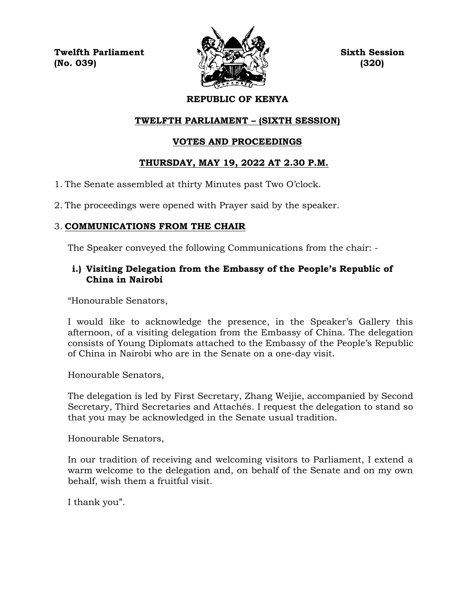**Twelfth Parliament Sixth Session (No. 039) (320)**



# **REPUBLIC OF KENYA**

# **TWELFTH PARLIAMENT – (SIXTH SESSION)**

# **VOTES AND PROCEEDINGS**

# **THURSDAY, MAY 19, 2022 AT 2.30 P.M.**

- 1. The Senate assembled at thirty Minutes past Two O'clock.
- 2. The proceedings were opened with Prayer said by the speaker.

# 3. **COMMUNICATIONS FROM THE CHAIR**

The Speaker conveyed the following Communications from the chair: -

# **i.) Visiting Delegation from the Embassy of the People's Republic of China in Nairobi**

"Honourable Senators,

I would like to acknowledge the presence, in the Speaker's Gallery this afternoon, of a visiting delegation from the Embassy of China. The delegation consists of Young Diplomats attached to the Embassy of the People's Republic of China in Nairobi who are in the Senate on a one-day visit.

Honourable Senators,

The delegation is led by First Secretary, Zhang Weijie, accompanied by Second Secretary, Third Secretaries and Attachés. I request the delegation to stand so that you may be acknowledged in the Senate usual tradition.

Honourable Senators,

In our tradition of receiving and welcoming visitors to Parliament, I extend a warm welcome to the delegation and, on behalf of the Senate and on my own behalf, wish them a fruitful visit.

I thank you".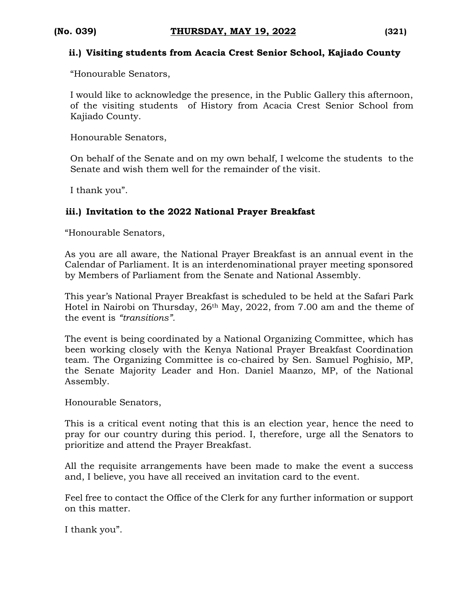#### **ii.) Visiting students from Acacia Crest Senior School, Kajiado County**

"Honourable Senators,

I would like to acknowledge the presence, in the Public Gallery this afternoon, of the visiting students of History from Acacia Crest Senior School from Kajiado County.

Honourable Senators,

On behalf of the Senate and on my own behalf, I welcome the students to the Senate and wish them well for the remainder of the visit.

I thank you".

## **iii.) Invitation to the 2022 National Prayer Breakfast**

"Honourable Senators,

As you are all aware, the National Prayer Breakfast is an annual event in the Calendar of Parliament. It is an interdenominational prayer meeting sponsored by Members of Parliament from the Senate and National Assembly.

This year's National Prayer Breakfast is scheduled to be held at the Safari Park Hotel in Nairobi on Thursday, 26th May, 2022, from 7.00 am and the theme of the event is *"transitions".* 

The event is being coordinated by a National Organizing Committee, which has been working closely with the Kenya National Prayer Breakfast Coordination team. The Organizing Committee is co-chaired by Sen. Samuel Poghisio, MP, the Senate Majority Leader and Hon. Daniel Maanzo, MP, of the National Assembly.

Honourable Senators,

This is a critical event noting that this is an election year, hence the need to pray for our country during this period. I, therefore, urge all the Senators to prioritize and attend the Prayer Breakfast.

All the requisite arrangements have been made to make the event a success and, I believe, you have all received an invitation card to the event.

Feel free to contact the Office of the Clerk for any further information or support on this matter.

I thank you".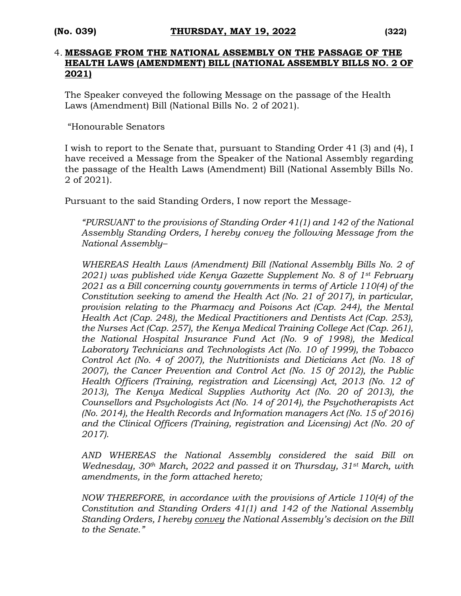#### 4. **MESSAGE FROM THE NATIONAL ASSEMBLY ON THE PASSAGE OF THE HEALTH LAWS (AMENDMENT) BILL (NATIONAL ASSEMBLY BILLS NO. 2 OF 2021)**

The Speaker conveyed the following Message on the passage of the Health Laws (Amendment) Bill (National Bills No. 2 of 2021).

"Honourable Senators

I wish to report to the Senate that, pursuant to Standing Order 41 (3) and (4), I have received a Message from the Speaker of the National Assembly regarding the passage of the Health Laws (Amendment) Bill (National Assembly Bills No. 2 of 2021).

Pursuant to the said Standing Orders, I now report the Message-

*"PURSUANT to the provisions of Standing Order 41(1) and 142 of the National Assembly Standing Orders, I hereby convey the following Message from the National Assembly–*

*WHEREAS Health Laws (Amendment) Bill (National Assembly Bills No. 2 of 2021) was published vide Kenya Gazette Supplement No. 8 of 1st February 2021 as a Bill concerning county governments in terms of Article 110(4) of the Constitution seeking to amend the Health Act (No. 21 of 2017), in particular, provision relating to the Pharmacy and Poisons Act (Cap. 244), the Mental Health Act (Cap. 248), the Medical Practitioners and Dentists Act (Cap. 253), the Nurses Act (Cap. 257), the Kenya Medical Training College Act (Cap. 261), the National Hospital Insurance Fund Act (No. 9 of 1998), the Medical Laboratory Technicians and Technologists Act (No. 10 of 1999), the Tobacco Control Act (No. 4 of 2007), the Nutritionists and Dieticians Act (No. 18 of 2007), the Cancer Prevention and Control Act (No. 15 0f 2012), the Public Health Officers (Training, registration and Licensing) Act, 2013 (No. 12 of 2013), The Kenya Medical Supplies Authority Act (No. 20 of 2013), the Counsellors and Psychologists Act (No. 14 of 2014), the Psychotherapists Act (No. 2014), the Health Records and Information managers Act (No. 15 of 2016) and the Clinical Officers (Training, registration and Licensing) Act (No. 20 of 2017).*

*AND WHEREAS the National Assembly considered the said Bill on Wednesday, 30th March, 2022 and passed it on Thursday, 31st March, with amendments, in the form attached hereto;* 

*NOW THEREFORE, in accordance with the provisions of Article 110(4) of the Constitution and Standing Orders 41(1) and 142 of the National Assembly Standing Orders, I hereby convey the National Assembly's decision on the Bill to the Senate."*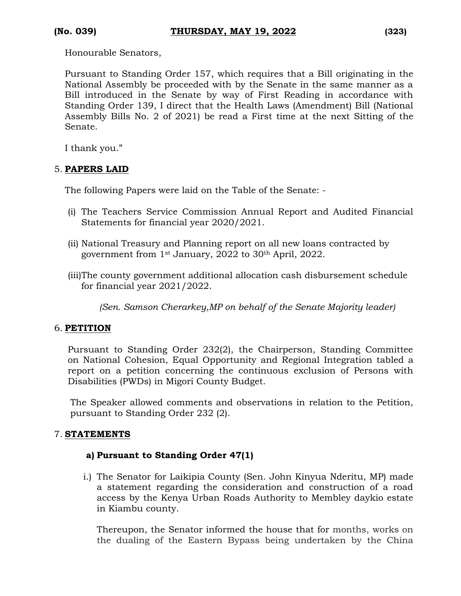Honourable Senators,

Pursuant to Standing Order 157, which requires that a Bill originating in the National Assembly be proceeded with by the Senate in the same manner as a Bill introduced in the Senate by way of First Reading in accordance with Standing Order 139, I direct that the Health Laws (Amendment) Bill (National Assembly Bills No. 2 of 2021) be read a First time at the next Sitting of the Senate.

I thank you."

## 5. **PAPERS LAID**

The following Papers were laid on the Table of the Senate: -

- (i) The Teachers Service Commission Annual Report and Audited Financial Statements for financial year 2020/2021.
- (ii) National Treasury and Planning report on all new loans contracted by government from 1st January, 2022 to 30th April, 2022.
- (iii)The county government additional allocation cash disbursement schedule for financial year 2021/2022.

*(Sen. Samson Cherarkey,MP on behalf of the Senate Majority leader)*

## 6. **PETITION**

Pursuant to Standing Order 232(2), the Chairperson, Standing Committee on National Cohesion, Equal Opportunity and Regional Integration tabled a report on a petition concerning the continuous exclusion of Persons with Disabilities (PWDs) in Migori County Budget.

The Speaker allowed comments and observations in relation to the Petition, pursuant to Standing Order 232 (2).

## 7. **STATEMENTS**

## **a) Pursuant to Standing Order 47(1)**

i.) The Senator for Laikipia County (Sen. John Kinyua Nderitu, MP) made a statement regarding the consideration and construction of a road access by the Kenya Urban Roads Authority to Membley daykio estate in Kiambu county.

Thereupon, the Senator informed the house that for months, works on the dualing of the Eastern Bypass being undertaken by the China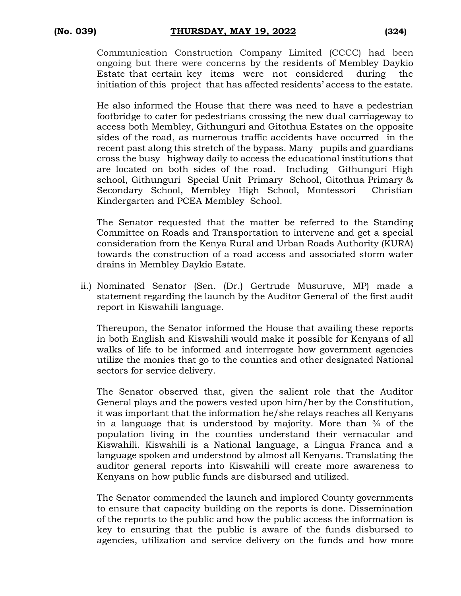Communication Construction Company Limited (CCCC) had been ongoing but there were concerns by the residents of Membley Daykio Estate that certain key items were not considered during the initiation of this project that has affected residents' access to the estate.

He also informed the House that there was need to have a pedestrian footbridge to cater for pedestrians crossing the new dual carriageway to access both Membley, Githunguri and Gitothua Estates on the opposite sides of the road, as numerous traffic accidents have occurred in the recent past along this stretch of the bypass. Many pupils and guardians cross the busy highway daily to access the educational institutions that are located on both sides of the road. Including Githunguri High school, Githunguri Special Unit Primary School, Gitothua Primary & Secondary School, Membley High School, Montessori Christian Kindergarten and PCEA Membley School.

The Senator requested that the matter be referred to the Standing Committee on Roads and Transportation to intervene and get a special consideration from the Kenya Rural and Urban Roads Authority (KURA) towards the construction of a road access and associated storm water drains in Membley Daykio Estate.

ii.) Nominated Senator (Sen. (Dr.) Gertrude Musuruve, MP) made a statement regarding the launch by the Auditor General of the first audit report in Kiswahili language.

Thereupon, the Senator informed the House that availing these reports in both English and Kiswahili would make it possible for Kenyans of all walks of life to be informed and interrogate how government agencies utilize the monies that go to the counties and other designated National sectors for service delivery.

The Senator observed that, given the salient role that the Auditor General plays and the powers vested upon him/her by the Constitution, it was important that the information he/she relays reaches all Kenyans in a language that is understood by majority. More than  $\frac{3}{4}$  of the population living in the counties understand their vernacular and Kiswahili. Kiswahili is a National language, a Lingua Franca and a language spoken and understood by almost all Kenyans. Translating the auditor general reports into Kiswahili will create more awareness to Kenyans on how public funds are disbursed and utilized.

The Senator commended the launch and implored County governments to ensure that capacity building on the reports is done. Dissemination of the reports to the public and how the public access the information is key to ensuring that the public is aware of the funds disbursed to agencies, utilization and service delivery on the funds and how more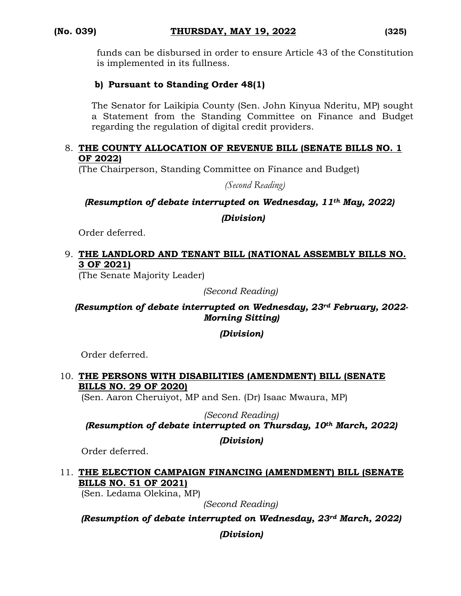funds can be disbursed in order to ensure Article 43 of the Constitution is implemented in its fullness.

# **b) Pursuant to Standing Order 48(1)**

The Senator for Laikipia County (Sen. John Kinyua Nderitu, MP) sought a Statement from the Standing Committee on Finance and Budget regarding the regulation of digital credit providers.

#### 8. **THE COUNTY ALLOCATION OF REVENUE BILL (SENATE BILLS NO. 1 OF 2022)**

(The Chairperson, Standing Committee on Finance and Budget)

*(Second Reading)*

*(Resumption of debate interrupted on Wednesday, 11th May, 2022)*

*(Division)*

Order deferred.

### 9. **THE LANDLORD AND TENANT BILL (NATIONAL ASSEMBLY BILLS NO. 3 OF 2021)**

(The Senate Majority Leader)

*(Second Reading)*

#### *(Resumption of debate interrupted on Wednesday, 23rd February, 2022- Morning Sitting)*

## *(Division)*

Order deferred.

#### 10. **THE PERSONS WITH DISABILITIES (AMENDMENT) BILL (SENATE BILLS NO. 29 OF 2020)**

(Sen. Aaron Cheruiyot, MP and Sen. (Dr) Isaac Mwaura, MP)

*(Second Reading)*

*(Resumption of debate interrupted on Thursday, 10th March, 2022)*

#### *(Division)*

Order deferred.

## 11. **THE ELECTION CAMPAIGN FINANCING (AMENDMENT) BILL (SENATE BILLS NO. 51 OF 2021)**

(Sen. Ledama Olekina, MP)

*(Second Reading)*

*(Resumption of debate interrupted on Wednesday, 23rd March, 2022)*

*(Division)*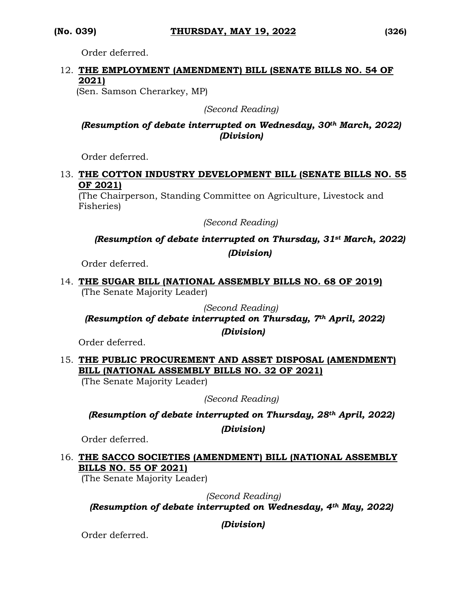Order deferred.

# 12. **THE EMPLOYMENT (AMENDMENT) BILL (SENATE BILLS NO. 54 OF 2021)**

(Sen. Samson Cherarkey, MP)

*(Second Reading)*

## *(Resumption of debate interrupted on Wednesday, 30th March, 2022) (Division)*

Order deferred.

#### 13. **THE COTTON INDUSTRY DEVELOPMENT BILL (SENATE BILLS NO. 55 OF 2021)**

(The Chairperson, Standing Committee on Agriculture, Livestock and Fisheries)

*(Second Reading)*

# *(Resumption of debate interrupted on Thursday, 31st March, 2022) (Division)*

Order deferred.

14. **THE SUGAR BILL (NATIONAL ASSEMBLY BILLS NO. 68 OF 2019)** (The Senate Majority Leader)

*(Second Reading)*

# *(Resumption of debate interrupted on Thursday, 7th April, 2022)*

*(Division)*

Order deferred.

# 15. **THE PUBLIC PROCUREMENT AND ASSET DISPOSAL (AMENDMENT) BILL (NATIONAL ASSEMBLY BILLS NO. 32 OF 2021)**

(The Senate Majority Leader)

*(Second Reading)*

*(Resumption of debate interrupted on Thursday, 28th April, 2022)* 

*(Division)*

Order deferred.

## 16. **THE SACCO SOCIETIES (AMENDMENT) BILL (NATIONAL ASSEMBLY BILLS NO. 55 OF 2021)**

(The Senate Majority Leader)

 *(Second Reading)*

*(Resumption of debate interrupted on Wednesday, 4th May, 2022)* 

*(Division)*

Order deferred.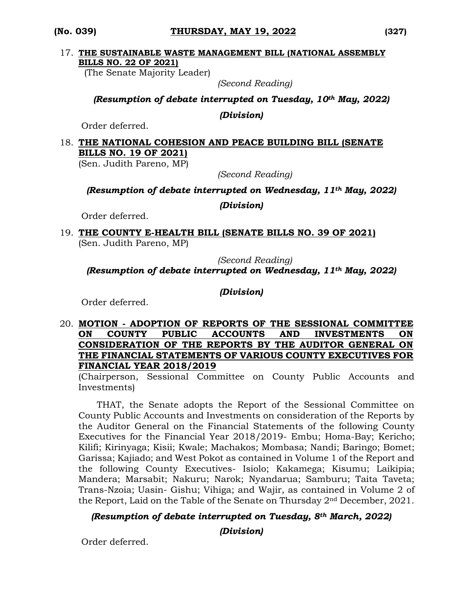#### 17. **THE SUSTAINABLE WASTE MANAGEMENT BILL (NATIONAL ASSEMBLY BILLS NO. 22 OF 2021)**

(The Senate Majority Leader)

*(Second Reading)*

*(Resumption of debate interrupted on Tuesday, 10th May, 2022)*

*(Division)*

Order deferred.

#### 18. **THE NATIONAL COHESION AND PEACE BUILDING BILL (SENATE BILLS NO. 19 OF 2021)**

(Sen. Judith Pareno, MP)

*(Second Reading)*

*(Resumption of debate interrupted on Wednesday, 11th May, 2022)*

*(Division)*

Order deferred.

19. **THE COUNTY E-HEALTH BILL (SENATE BILLS NO. 39 OF 2021)**  (Sen. Judith Pareno, MP)

*(Second Reading) (Resumption of debate interrupted on Wednesday, 11th May, 2022)*

*(Division)*

Order deferred.

#### 20. **MOTION - ADOPTION OF REPORTS OF THE SESSIONAL COMMITTEE ON COUNTY PUBLIC ACCOUNTS AND INVESTMENTS ON CONSIDERATION OF THE REPORTS BY THE AUDITOR GENERAL ON THE FINANCIAL STATEMENTS OF VARIOUS COUNTY EXECUTIVES FOR FINANCIAL YEAR 2018/2019**

(Chairperson, Sessional Committee on County Public Accounts and Investments)

THAT, the Senate adopts the Report of the Sessional Committee on County Public Accounts and Investments on consideration of the Reports by the Auditor General on the Financial Statements of the following County Executives for the Financial Year 2018/2019- Embu; Homa-Bay; Kericho; Kilifi; Kirinyaga; Kisii; Kwale; Machakos; Mombasa; Nandi; Baringo; Bomet; Garissa; Kajiado; and West Pokot as contained in Volume 1 of the Report and the following County Executives- Isiolo; Kakamega; Kisumu; Laikipia; Mandera; Marsabit; Nakuru; Narok; Nyandarua; Samburu; Taita Taveta; Trans-Nzoia; Uasin- Gishu; Vihiga; and Wajir, as contained in Volume 2 of the Report, Laid on the Table of the Senate on Thursday 2nd December, 2021.

## *(Resumption of debate interrupted on Tuesday, 8th March, 2022)*

*(Division)*

Order deferred.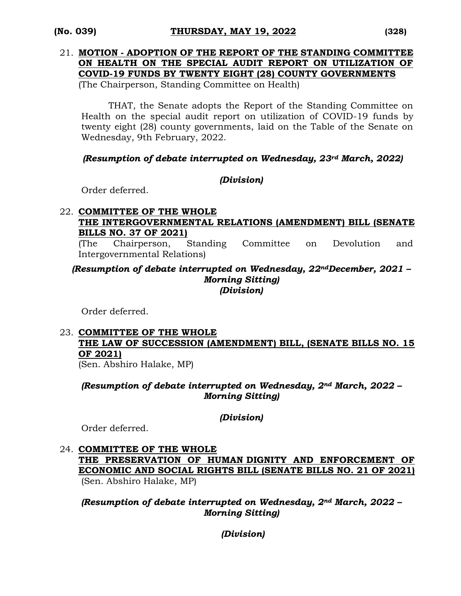# 21. **MOTION - ADOPTION OF THE REPORT OF THE STANDING COMMITTEE ON HEALTH ON THE SPECIAL AUDIT REPORT ON UTILIZATION OF COVID-19 FUNDS BY TWENTY EIGHT (28) COUNTY GOVERNMENTS**

(The Chairperson, Standing Committee on Health)

THAT, the Senate adopts the Report of the Standing Committee on Health on the special audit report on utilization of COVID-19 funds by twenty eight (28) county governments, laid on the Table of the Senate on Wednesday, 9th February, 2022.

*(Resumption of debate interrupted on Wednesday, 23rd March, 2022)*

## *(Division)*

Order deferred.

## 22. **COMMITTEE OF THE WHOLE THE INTERGOVERNMENTAL RELATIONS (AMENDMENT) BILL (SENATE BILLS NO. 37 OF 2021)**

(The Chairperson, Standing Committee on Devolution and Intergovernmental Relations)

#### *(Resumption of debate interrupted on Wednesday, 22ndDecember, 2021 – Morning Sitting) (Division)*

Order deferred.

## 23. **COMMITTEE OF THE WHOLE THE LAW OF SUCCESSION (AMENDMENT) BILL, (SENATE BILLS NO. 15 OF 2021)**

(Sen. Abshiro Halake, MP)

*(Resumption of debate interrupted on Wednesday, 2nd March, 2022 – Morning Sitting)*

## *(Division)*

Order deferred.

# 24. **COMMITTEE OF THE WHOLE**

**THE PRESERVATION OF HUMAN DIGNITY AND ENFORCEMENT OF ECONOMIC AND SOCIAL RIGHTS BILL (SENATE BILLS NO. 21 OF 2021)**  (Sen. Abshiro Halake, MP)

*(Resumption of debate interrupted on Wednesday, 2nd March, 2022 – Morning Sitting)* 

*(Division)*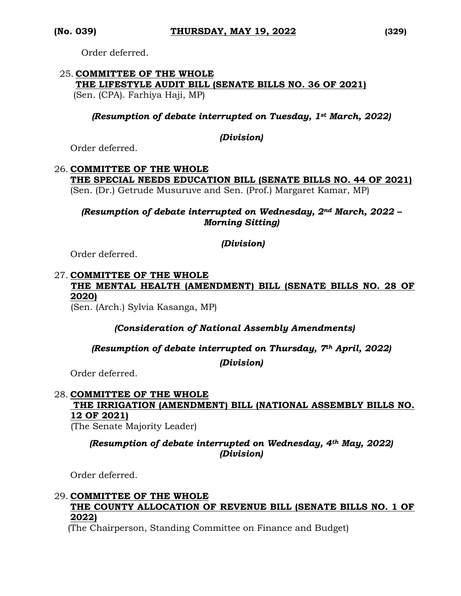Order deferred.

#### 25. **COMMITTEE OF THE WHOLE THE LIFESTYLE AUDIT BILL (SENATE BILLS NO. 36 OF 2021)**  (Sen. (CPA). Farhiya Haji, MP)

*(Resumption of debate interrupted on Tuesday, 1st March, 2022)* 

#### *(Division)*

Order deferred.

#### 26. **COMMITTEE OF THE WHOLE THE SPECIAL NEEDS EDUCATION BILL (SENATE BILLS NO. 44 OF 2021)**  (Sen. (Dr.) Getrude Musuruve and Sen. (Prof.) Margaret Kamar, MP)

*(Resumption of debate interrupted on Wednesday, 2nd March, 2022 – Morning Sitting)* 

#### *(Division)*

Order deferred.

#### 27. **COMMITTEE OF THE WHOLE THE MENTAL HEALTH (AMENDMENT) BILL (SENATE BILLS NO. 28 OF 2020)**

(Sen. (Arch.) Sylvia Kasanga, MP)

*(Consideration of National Assembly Amendments)*

#### *(Resumption of debate interrupted on Thursday, 7th April, 2022)*

*(Division)*

Order deferred.

# 28. **COMMITTEE OF THE WHOLE THE IRRIGATION (AMENDMENT) BILL (NATIONAL ASSEMBLY BILLS NO. 12 OF 2021)**

(The Senate Majority Leader)

#### *(Resumption of debate interrupted on Wednesday, 4th May, 2022) (Division)*

Order deferred.

# 29. **COMMITTEE OF THE WHOLE THE COUNTY ALLOCATION OF REVENUE BILL (SENATE BILLS NO. 1 OF 2022)**

(The Chairperson, Standing Committee on Finance and Budget)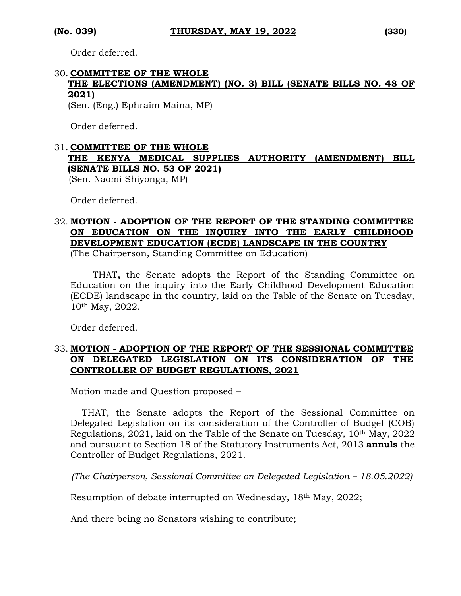Order deferred.

# 30. **COMMITTEE OF THE WHOLE THE ELECTIONS (AMENDMENT) (NO. 3) BILL (SENATE BILLS NO. 48 OF 2021)**

(Sen. (Eng.) Ephraim Maina, MP)

Order deferred.

# 31. **COMMITTEE OF THE WHOLE THE KENYA MEDICAL SUPPLIES AUTHORITY (AMENDMENT) BILL (SENATE BILLS NO. 53 OF 2021)**

(Sen. Naomi Shiyonga, MP)

Order deferred.

## 32. **MOTION - ADOPTION OF THE REPORT OF THE STANDING COMMITTEE ON EDUCATION ON THE INQUIRY INTO THE EARLY CHILDHOOD DEVELOPMENT EDUCATION (ECDE) LANDSCAPE IN THE COUNTRY**

(The Chairperson, Standing Committee on Education)

 THAT**,** the Senate adopts the Report of the Standing Committee on Education on the inquiry into the Early Childhood Development Education (ECDE) landscape in the country, laid on the Table of the Senate on Tuesday, 10th May, 2022.

Order deferred.

#### 33. **MOTION - ADOPTION OF THE REPORT OF THE SESSIONAL COMMITTEE ON DELEGATED LEGISLATION ON ITS CONSIDERATION OF THE CONTROLLER OF BUDGET REGULATIONS, 2021**

Motion made and Question proposed –

 THAT, the Senate adopts the Report of the Sessional Committee on Delegated Legislation on its consideration of the Controller of Budget (COB) Regulations, 2021, laid on the Table of the Senate on Tuesday, 10th May, 2022 and pursuant to Section 18 of the Statutory Instruments Act, 2013 **annuls** the Controller of Budget Regulations, 2021.

*(The Chairperson, Sessional Committee on Delegated Legislation – 18.05.2022)*

Resumption of debate interrupted on Wednesday, 18th May, 2022;

And there being no Senators wishing to contribute;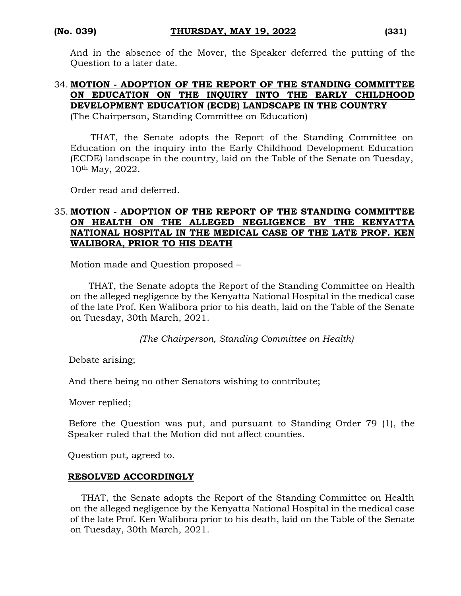And in the absence of the Mover, the Speaker deferred the putting of the Question to a later date.

#### 34. **MOTION - ADOPTION OF THE REPORT OF THE STANDING COMMITTEE ON EDUCATION ON THE INQUIRY INTO THE EARLY CHILDHOOD DEVELOPMENT EDUCATION (ECDE) LANDSCAPE IN THE COUNTRY**

(The Chairperson, Standing Committee on Education)

 THAT, the Senate adopts the Report of the Standing Committee on Education on the inquiry into the Early Childhood Development Education (ECDE) landscape in the country, laid on the Table of the Senate on Tuesday, 10th May, 2022.

Order read and deferred.

### 35. **MOTION - ADOPTION OF THE REPORT OF THE STANDING COMMITTEE ON HEALTH ON THE ALLEGED NEGLIGENCE BY THE KENYATTA NATIONAL HOSPITAL IN THE MEDICAL CASE OF THE LATE PROF. KEN WALIBORA, PRIOR TO HIS DEATH**

Motion made and Question proposed –

THAT, the Senate adopts the Report of the Standing Committee on Health on the alleged negligence by the Kenyatta National Hospital in the medical case of the late Prof. Ken Walibora prior to his death, laid on the Table of the Senate on Tuesday, 30th March, 2021.

*(The Chairperson, Standing Committee on Health)*

Debate arising;

And there being no other Senators wishing to contribute;

Mover replied;

 Before the Question was put, and pursuant to Standing Order 79 (1), the Speaker ruled that the Motion did not affect counties.

Question put, agreed to.

#### **RESOLVED ACCORDINGLY**

THAT, the Senate adopts the Report of the Standing Committee on Health on the alleged negligence by the Kenyatta National Hospital in the medical case of the late Prof. Ken Walibora prior to his death, laid on the Table of the Senate on Tuesday, 30th March, 2021.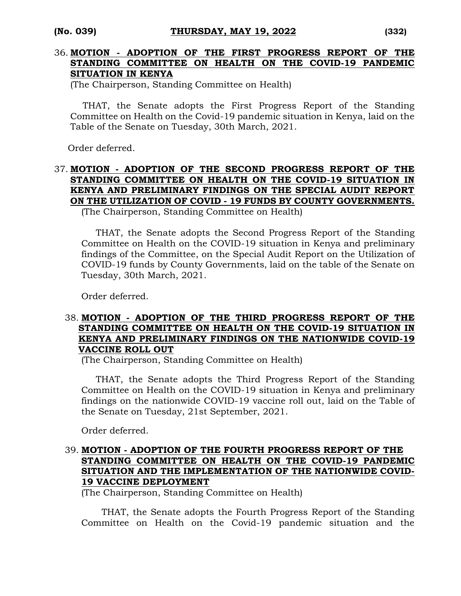#### 36. **MOTION - ADOPTION OF THE FIRST PROGRESS REPORT OF THE STANDING COMMITTEE ON HEALTH ON THE COVID-19 PANDEMIC SITUATION IN KENYA**

(The Chairperson, Standing Committee on Health)

THAT, the Senate adopts the First Progress Report of the Standing Committee on Health on the Covid-19 pandemic situation in Kenya, laid on the Table of the Senate on Tuesday, 30th March, 2021.

Order deferred.

## 37. **MOTION - ADOPTION OF THE SECOND PROGRESS REPORT OF THE STANDING COMMITTEE ON HEALTH ON THE COVID-19 SITUATION IN KENYA AND PRELIMINARY FINDINGS ON THE SPECIAL AUDIT REPORT ON THE UTILIZATION OF COVID - 19 FUNDS BY COUNTY GOVERNMENTS.**

(The Chairperson, Standing Committee on Health)

 THAT, the Senate adopts the Second Progress Report of the Standing Committee on Health on the COVID-19 situation in Kenya and preliminary findings of the Committee, on the Special Audit Report on the Utilization of COVID-19 funds by County Governments, laid on the table of the Senate on Tuesday, 30th March, 2021.

Order deferred.

#### 38. **MOTION - ADOPTION OF THE THIRD PROGRESS REPORT OF THE STANDING COMMITTEE ON HEALTH ON THE COVID-19 SITUATION IN KENYA AND PRELIMINARY FINDINGS ON THE NATIONWIDE COVID-19 VACCINE ROLL OUT**

(The Chairperson, Standing Committee on Health)

 THAT, the Senate adopts the Third Progress Report of the Standing Committee on Health on the COVID-19 situation in Kenya and preliminary findings on the nationwide COVID-19 vaccine roll out, laid on the Table of the Senate on Tuesday, 21st September, 2021.

Order deferred.

#### 39. **MOTION - ADOPTION OF THE FOURTH PROGRESS REPORT OF THE STANDING COMMITTEE ON HEALTH ON THE COVID-19 PANDEMIC SITUATION AND THE IMPLEMENTATION OF THE NATIONWIDE COVID-19 VACCINE DEPLOYMENT**

(The Chairperson, Standing Committee on Health)

 THAT, the Senate adopts the Fourth Progress Report of the Standing Committee on Health on the Covid-19 pandemic situation and the